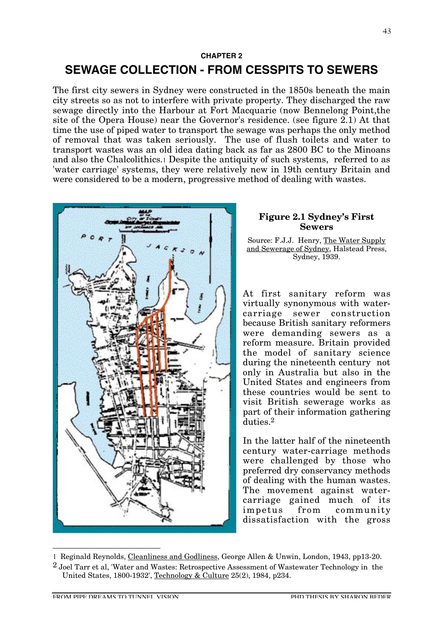$\overline{a}$ 

# **CHAPTER 2 SEWAGE COLLECTION - FROM CESSPITS TO SEWERS**

The first city sewers in Sydney were constructed in the 1850s beneath the main city streets so as not to interfere with private property. They discharged the raw sewage directly into the Harbour at Fort Macquarie (now Bennelong Point,the site of the Opera House) near the Governor's residence. (see figure 2.1) At that time the use of piped water to transport the sewage was perhaps the only method of removal that was taken seriously. The use of flush toilets and water to transport wastes was an old idea dating back as far as 2800 BC to the Minoans and also the Chalcolithics.1 Despite the antiquity of such systems, referred to as 'water carriage' systems, they were relatively new in 19th century Britain and were considered to be a modern, progressive method of dealing with wastes.



## **Figure 2.1 Sydney's First Sewers**

Source: F.J.J. Henry, The Water Supply and Sewerage of Sydney, Halstead Press, Sydney, 1939.

At first sanitary reform was virtually synonymous with watercarriage sewer construction because British sanitary reformers were demanding sewers as a reform measure. Britain provided the model of sanitary science during the nineteenth century not only in Australia but also in the United States and engineers from these countries would be sent to visit British sewerage works as part of their information gathering duties.2

In the latter half of the nineteenth century water-carriage methods were challenged by those who preferred dry conservancy methods of dealing with the human wastes. The movement against watercarriage gained much of its impetus from community dissatisfaction with the gross

<sup>1</sup> Reginald Reynolds, Cleanliness and Godliness, George Allen & Unwin, London, 1943, pp13-20.

 $2$  Joel Tarr et al, 'Water and Wastes: Retrospective Assessment of Wastewater Technology in the United States, 1800-1932', Technology & Culture 25(2), 1984, p234.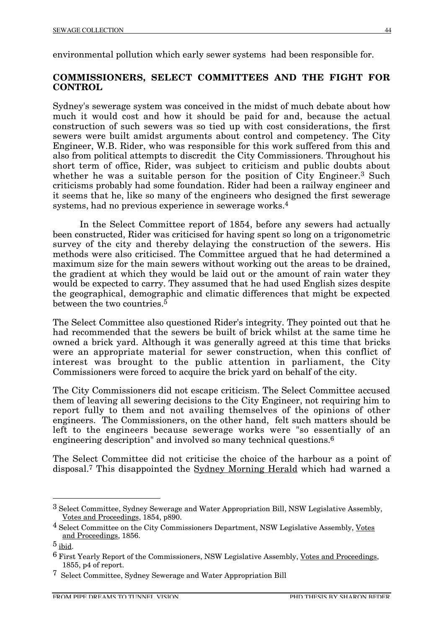environmental pollution which early sewer systems had been responsible for.

# **COMMISSIONERS, SELECT COMMITTEES AND THE FIGHT FOR CONTROL**

Sydney's sewerage system was conceived in the midst of much debate about how much it would cost and how it should be paid for and, because the actual construction of such sewers was so tied up with cost considerations, the first sewers were built amidst arguments about control and competency. The City Engineer, W.B. Rider, who was responsible for this work suffered from this and also from political attempts to discredit the City Commissioners. Throughout his short term of office, Rider, was subject to criticism and public doubts about whether he was a suitable person for the position of City Engineer.<sup>3</sup> Such criticisms probably had some foundation. Rider had been a railway engineer and it seems that he, like so many of the engineers who designed the first sewerage systems, had no previous experience in sewerage works.4

In the Select Committee report of 1854, before any sewers had actually been constructed, Rider was criticised for having spent so long on a trigonometric survey of the city and thereby delaying the construction of the sewers. His methods were also criticised. The Committee argued that he had determined a maximum size for the main sewers without working out the areas to be drained, the gradient at which they would be laid out or the amount of rain water they would be expected to carry. They assumed that he had used English sizes despite the geographical, demographic and climatic differences that might be expected between the two countries.<sup> $5$ </sup>

The Select Committee also questioned Rider's integrity. They pointed out that he had recommended that the sewers be built of brick whilst at the same time he owned a brick yard. Although it was generally agreed at this time that bricks were an appropriate material for sewer construction, when this conflict of interest was brought to the public attention in parliament, the City Commissioners were forced to acquire the brick yard on behalf of the city.

The City Commissioners did not escape criticism. The Select Committee accused them of leaving all sewering decisions to the City Engineer, not requiring him to report fully to them and not availing themselves of the opinions of other engineers. The Commissioners, on the other hand, felt such matters should be left to the engineers because sewerage works were "so essentially of an engineering description" and involved so many technical questions.<sup>6</sup>

The Select Committee did not criticise the choice of the harbour as a point of disposal.7 This disappointed the Sydney Morning Herald which had warned a

 <sup>3</sup> Select Committee, Sydney Sewerage and Water Appropriation Bill, NSW Legislative Assembly, Votes and Proceedings, 1854, p890.

 $4$  Select Committee on the City Commissioners Department, NSW Legislative Assembly, Votes and Proceedings, 1856.

<sup>5</sup> ibid.

<sup>6</sup> First Yearly Report of the Commissioners, NSW Legislative Assembly, Votes and Proceedings, 1855, p4 of report.

<sup>7</sup> Select Committee, Sydney Sewerage and Water Appropriation Bill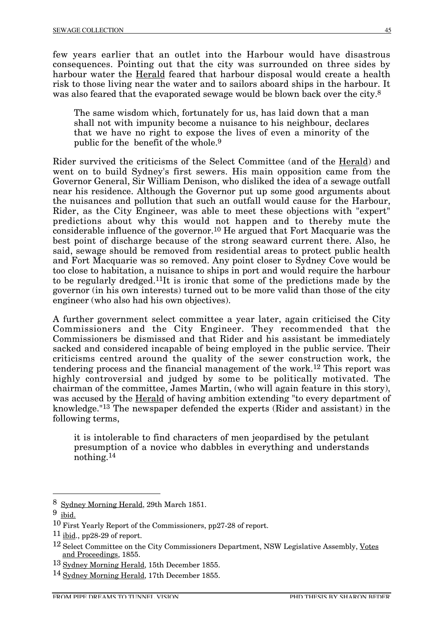few years earlier that an outlet into the Harbour would have disastrous consequences. Pointing out that the city was surrounded on three sides by harbour water the Herald feared that harbour disposal would create a health risk to those living near the water and to sailors aboard ships in the harbour. It was also feared that the evaporated sewage would be blown back over the city.<sup>8</sup>

The same wisdom which, fortunately for us, has laid down that a man shall not with impunity become a nuisance to his neighbour, declares that we have no right to expose the lives of even a minority of the public for the benefit of the whole.9

Rider survived the criticisms of the Select Committee (and of the Herald) and went on to build Sydney's first sewers. His main opposition came from the Governor General, Sir William Denison, who disliked the idea of a sewage outfall near his residence. Although the Governor put up some good arguments about the nuisances and pollution that such an outfall would cause for the Harbour, Rider, as the City Engineer, was able to meet these objections with "expert" predictions about why this would not happen and to thereby mute the considerable influence of the governor.10 He argued that Fort Macquarie was the best point of discharge because of the strong seaward current there. Also, he said, sewage should be removed from residential areas to protect public health and Fort Macquarie was so removed. Any point closer to Sydney Cove would be too close to habitation, a nuisance to ships in port and would require the harbour to be regularly dredged.11It is ironic that some of the predictions made by the governor (in his own interests) turned out to be more valid than those of the city engineer (who also had his own objectives).

A further government select committee a year later, again criticised the City Commissioners and the City Engineer. They recommended that the Commissioners be dismissed and that Rider and his assistant be immediately sacked and considered incapable of being employed in the public service. Their criticisms centred around the quality of the sewer construction work, the tendering process and the financial management of the work.12 This report was highly controversial and judged by some to be politically motivated. The chairman of the committee, James Martin, (who will again feature in this story), was accused by the Herald of having ambition extending "to every department of knowledge."13 The newspaper defended the experts (Rider and assistant) in the following terms,

it is intolerable to find characters of men jeopardised by the petulant presumption of a novice who dabbles in everything and understands nothing.14

 <sup>8</sup> Sydney Morning Herald, 29th March 1851.

<sup>9</sup> ibid.

<sup>10</sup> First Yearly Report of the Commissioners, pp27-28 of report.

 $11$  ibid., pp28-29 of report.

<sup>&</sup>lt;sup>12</sup> Select Committee on the City Commissioners Department, NSW Legislative Assembly, Votes and Proceedings, 1855.

<sup>13</sup> Sydney Morning Herald, 15th December 1855.

<sup>14</sup> Sydney Morning Herald, 17th December 1855.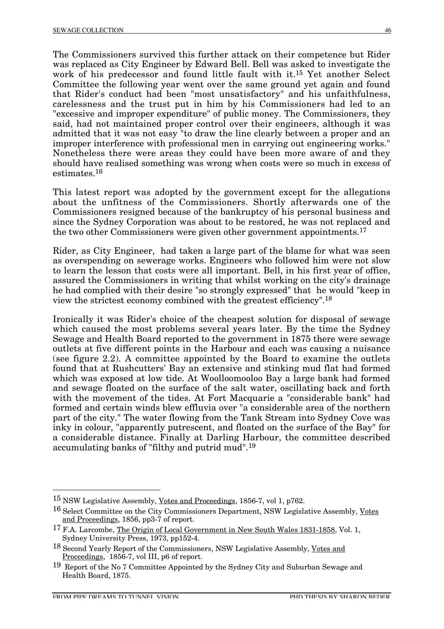The Commissioners survived this further attack on their competence but Rider was replaced as City Engineer by Edward Bell. Bell was asked to investigate the work of his predecessor and found little fault with it.15 Yet another Select Committee the following year went over the same ground yet again and found that Rider's conduct had been "most unsatisfactory" and his unfaithfulness, carelessness and the trust put in him by his Commissioners had led to an "excessive and improper expenditure" of public money. The Commissioners, they said, had not maintained proper control over their engineers, although it was admitted that it was not easy "to draw the line clearly between a proper and an improper interference with professional men in carrying out engineering works." Nonetheless there were areas they could have been more aware of and they should have realised something was wrong when costs were so much in excess of estimates.16

This latest report was adopted by the government except for the allegations about the unfitness of the Commissioners. Shortly afterwards one of the Commissioners resigned because of the bankruptcy of his personal business and since the Sydney Corporation was about to be restored, he was not replaced and the two other Commissioners were given other government appointments.17

Rider, as City Engineer, had taken a large part of the blame for what was seen as overspending on sewerage works. Engineers who followed him were not slow to learn the lesson that costs were all important. Bell, in his first year of office, assured the Commissioners in writing that whilst working on the city's drainage he had complied with their desire "so strongly expressed" that he would "keep in view the strictest economy combined with the greatest efficiency".18

Ironically it was Rider's choice of the cheapest solution for disposal of sewage which caused the most problems several years later. By the time the Sydney Sewage and Health Board reported to the government in 1875 there were sewage outlets at five different points in the Harbour and each was causing a nuisance (see figure 2.2). A committee appointed by the Board to examine the outlets found that at Rushcutters' Bay an extensive and stinking mud flat had formed which was exposed at low tide. At Woolloomooloo Bay a large bank had formed and sewage floated on the surface of the salt water, oscillating back and forth with the movement of the tides. At Fort Macquarie a "considerable bank" had formed and certain winds blew effluvia over "a considerable area of the northern part of the city." The water flowing from the Tank Stream into Sydney Cove was inky in colour, "apparently putrescent, and floated on the surface of the Bay" for a considerable distance. Finally at Darling Harbour, the committee described accumulating banks of "filthy and putrid mud".19

 <sup>15</sup> NSW Legislative Assembly, Votes and Proceedings, 1856-7, vol 1, p762.

<sup>16</sup> Select Committee on the City Commissioners Department, NSW Legislative Assembly, Votes and Proceedings, 1856, pp3-7 of report.

<sup>&</sup>lt;sup>17</sup> F.A. Larcombe, The Origin of Local Government in New South Wales 1831-1858, Vol. 1, Sydney University Press, 1973, pp152-4.

<sup>18</sup> Second Yearly Report of the Commissioners, NSW Legislative Assembly, Votes and Proceedings, 1856-7, vol III, p6 of report.

<sup>19</sup> Report of the No 7 Committee Appointed by the Sydney City and Suburban Sewage and Health Board, 1875.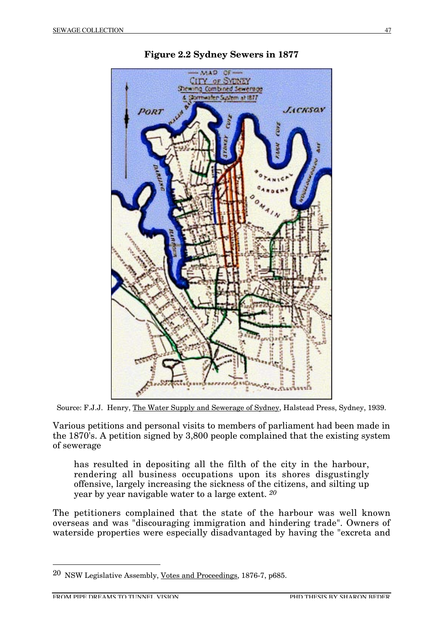

**Figure 2.2 Sydney Sewers in 1877**

Source: F.J.J. Henry, The Water Supply and Sewerage of Sydney, Halstead Press, Sydney, 1939.

Various petitions and personal visits to members of parliament had been made in the 1870's. A petition signed by 3,800 people complained that the existing system of sewerage

has resulted in depositing all the filth of the city in the harbour, rendering all business occupations upon its shores disgustingly offensive, largely increasing the sickness of the citizens, and silting up year by year navigable water to a large extent. *20*

The petitioners complained that the state of the harbour was well known overseas and was "discouraging immigration and hindering trade". Owners of waterside properties were especially disadvantaged by having the "excreta and

 <sup>20</sup> NSW Legislative Assembly, Votes and Proceedings, 1876-7, p685.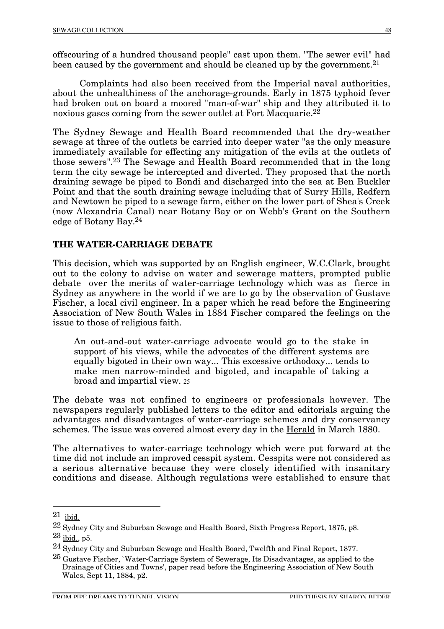offscouring of a hundred thousand people" cast upon them. "The sewer evil" had been caused by the government and should be cleaned up by the government.<sup>21</sup>

Complaints had also been received from the Imperial naval authorities, about the unhealthiness of the anchorage-grounds. Early in 1875 typhoid fever had broken out on board a moored "man-of-war" ship and they attributed it to noxious gases coming from the sewer outlet at Fort Macquarie.<sup>22</sup>

The Sydney Sewage and Health Board recommended that the dry-weather sewage at three of the outlets be carried into deeper water "as the only measure immediately available for effecting any mitigation of the evils at the outlets of those sewers".23 The Sewage and Health Board recommended that in the long term the city sewage be intercepted and diverted. They proposed that the north draining sewage be piped to Bondi and discharged into the sea at Ben Buckler Point and that the south draining sewage including that of Surry Hills, Redfern and Newtown be piped to a sewage farm, either on the lower part of Shea's Creek (now Alexandria Canal) near Botany Bay or on Webb's Grant on the Southern edge of Botany Bay.24

# **THE WATER-CARRIAGE DEBATE**

This decision, which was supported by an English engineer, W.C.Clark, brought out to the colony to advise on water and sewerage matters, prompted public debate over the merits of water-carriage technology which was as fierce in Sydney as anywhere in the world if we are to go by the observation of Gustave Fischer, a local civil engineer. In a paper which he read before the Engineering Association of New South Wales in 1884 Fischer compared the feelings on the issue to those of religious faith.

An out-and-out water-carriage advocate would go to the stake in support of his views, while the advocates of the different systems are equally bigoted in their own way... This excessive orthodoxy... tends to make men narrow-minded and bigoted, and incapable of taking a broad and impartial view. 25

The debate was not confined to engineers or professionals however. The newspapers regularly published letters to the editor and editorials arguing the advantages and disadvantages of water-carriage schemes and dry conservancy schemes. The issue was covered almost every day in the Herald in March 1880.

The alternatives to water-carriage technology which were put forward at the time did not include an improved cesspit system. Cesspits were not considered as a serious alternative because they were closely identified with insanitary conditions and disease. Although regulations were established to ensure that

 <sup>21</sup> ibid.

<sup>22</sup> Sydney City and Suburban Sewage and Health Board, Sixth Progress Report, 1875, p8.

<sup>23</sup> ibid., p5.

<sup>24</sup> Sydney City and Suburban Sewage and Health Board, Twelfth and Final Report, 1877.

<sup>25</sup> Gustave Fischer, `Water-Carriage System of Sewerage, Its Disadvantages, as applied to the Drainage of Cities and Towns', paper read before the Engineering Association of New South Wales, Sept 11, 1884, p2.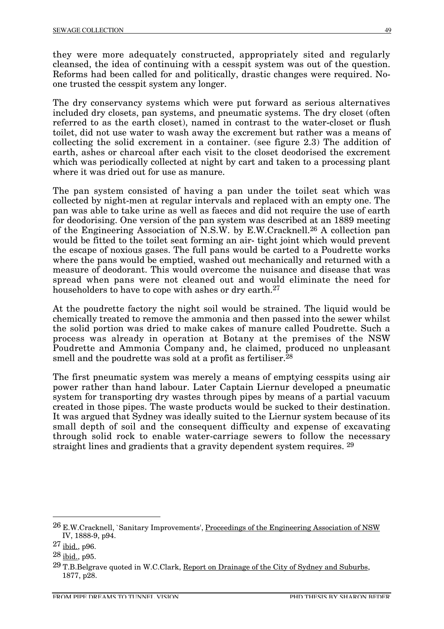they were more adequately constructed, appropriately sited and regularly cleansed, the idea of continuing with a cesspit system was out of the question. Reforms had been called for and politically, drastic changes were required. Noone trusted the cesspit system any longer.

The dry conservancy systems which were put forward as serious alternatives included dry closets, pan systems, and pneumatic systems. The dry closet (often referred to as the earth closet), named in contrast to the water-closet or flush toilet, did not use water to wash away the excrement but rather was a means of collecting the solid excrement in a container. (see figure 2.3) The addition of earth, ashes or charcoal after each visit to the closet deodorised the excrement which was periodically collected at night by cart and taken to a processing plant where it was dried out for use as manure.

The pan system consisted of having a pan under the toilet seat which was collected by night-men at regular intervals and replaced with an empty one. The pan was able to take urine as well as faeces and did not require the use of earth for deodorising. One version of the pan system was described at an 1889 meeting of the Engineering Association of N.S.W. by E.W.Cracknell.26 A collection pan would be fitted to the toilet seat forming an air- tight joint which would prevent the escape of noxious gases. The full pans would be carted to a Poudrette works where the pans would be emptied, washed out mechanically and returned with a measure of deodorant. This would overcome the nuisance and disease that was spread when pans were not cleaned out and would eliminate the need for householders to have to cope with ashes or dry earth.<sup>27</sup>

At the poudrette factory the night soil would be strained. The liquid would be chemically treated to remove the ammonia and then passed into the sewer whilst the solid portion was dried to make cakes of manure called Poudrette. Such a process was already in operation at Botany at the premises of the NSW Poudrette and Ammonia Company and, he claimed, produced no unpleasant smell and the poudrette was sold at a profit as fertiliser.<sup>28</sup>

The first pneumatic system was merely a means of emptying cesspits using air power rather than hand labour. Later Captain Liernur developed a pneumatic system for transporting dry wastes through pipes by means of a partial vacuum created in those pipes. The waste products would be sucked to their destination. It was argued that Sydney was ideally suited to the Liernur system because of its small depth of soil and the consequent difficulty and expense of excavating through solid rock to enable water-carriage sewers to follow the necessary straight lines and gradients that a gravity dependent system requires. 29

 <sup>26</sup> E.W.Cracknell, `Sanitary Improvements', Proceedings of the Engineering Association of NSW IV, 1888-9, p94.

<sup>27</sup> ibid., p96.

<sup>28</sup> ibid., p95.

 $29$  T.B.Belgrave quoted in W.C.Clark, Report on Drainage of the City of Sydney and Suburbs, 1877, p28.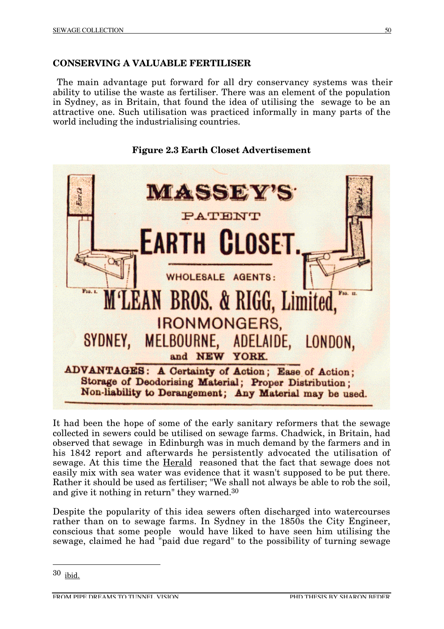# **CONSERVING A VALUABLE FERTILISER**

The main advantage put forward for all dry conservancy systems was their ability to utilise the waste as fertiliser. There was an element of the population in Sydney, as in Britain, that found the idea of utilising the sewage to be an attractive one. Such utilisation was practiced informally in many parts of the world including the industrialising countries.



**Figure 2.3 Earth Closet Advertisement**

It had been the hope of some of the early sanitary reformers that the sewage collected in sewers could be utilised on sewage farms. Chadwick, in Britain, had observed that sewage in Edinburgh was in much demand by the farmers and in his 1842 report and afterwards he persistently advocated the utilisation of sewage. At this time the Herald reasoned that the fact that sewage does not easily mix with sea water was evidence that it wasn't supposed to be put there. Rather it should be used as fertiliser; "We shall not always be able to rob the soil, and give it nothing in return" they warned.30

Despite the popularity of this idea sewers often discharged into watercourses rather than on to sewage farms. In Sydney in the 1850s the City Engineer, conscious that some people would have liked to have seen him utilising the sewage, claimed he had "paid due regard" to the possibility of turning sewage

 <sup>30</sup> ibid.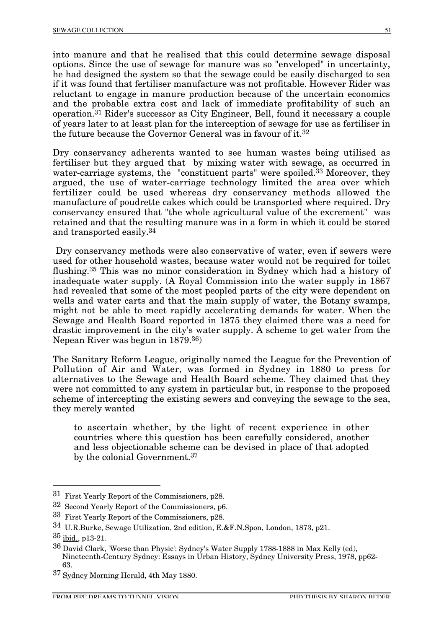into manure and that he realised that this could determine sewage disposal options. Since the use of sewage for manure was so "enveloped" in uncertainty, he had designed the system so that the sewage could be easily discharged to sea if it was found that fertiliser manufacture was not profitable. However Rider was reluctant to engage in manure production because of the uncertain economics and the probable extra cost and lack of immediate profitability of such an operation.31 Rider's successor as City Engineer, Bell, found it necessary a couple of years later to at least plan for the interception of sewage for use as fertiliser in the future because the Governor General was in favour of it.32

Dry conservancy adherents wanted to see human wastes being utilised as fertiliser but they argued that by mixing water with sewage, as occurred in water-carriage systems, the "constituent parts" were spoiled.<sup>33</sup> Moreover, they argued, the use of water-carriage technology limited the area over which fertilizer could be used whereas dry conservancy methods allowed the manufacture of poudrette cakes which could be transported where required. Dry conservancy ensured that "the whole agricultural value of the excrement" was retained and that the resulting manure was in a form in which it could be stored and transported easily.34

Dry conservancy methods were also conservative of water, even if sewers were used for other household wastes, because water would not be required for toilet flushing.35 This was no minor consideration in Sydney which had a history of inadequate water supply. (A Royal Commission into the water supply in 1867 had revealed that some of the most peopled parts of the city were dependent on wells and water carts and that the main supply of water, the Botany swamps, might not be able to meet rapidly accelerating demands for water. When the Sewage and Health Board reported in 1875 they claimed there was a need for drastic improvement in the city's water supply. A scheme to get water from the Nepean River was begun in 1879.36)

The Sanitary Reform League, originally named the League for the Prevention of Pollution of Air and Water, was formed in Sydney in 1880 to press for alternatives to the Sewage and Health Board scheme. They claimed that they were not committed to any system in particular but, in response to the proposed scheme of intercepting the existing sewers and conveying the sewage to the sea, they merely wanted

to ascertain whether, by the light of recent experience in other countries where this question has been carefully considered, another and less objectionable scheme can be devised in place of that adopted by the colonial Government.37

 <sup>31</sup> First Yearly Report of the Commissioners, p28.

<sup>32</sup> Second Yearly Report of the Commissioners, p6.

<sup>33</sup> First Yearly Report of the Commissioners, p28.

<sup>34</sup> U.R.Burke, Sewage Utilization, 2nd edition, E.&F.N.Spon, London, 1873, p21.

 $35$  ibid., p13-21.

<sup>36</sup> David Clark, 'Worse than Physic': Sydney's Water Supply 1788-1888 in Max Kelly (ed), Nineteenth-Century Sydney: Essays in Urban History, Sydney University Press, 1978, pp62- 63.

<sup>37</sup> Sydney Morning Herald, 4th May 1880.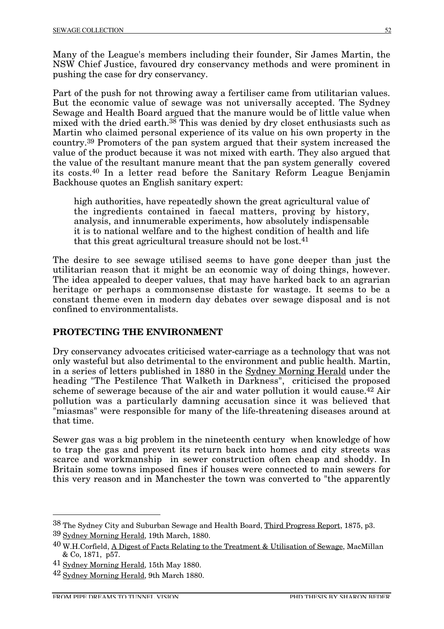Many of the League's members including their founder, Sir James Martin, the NSW Chief Justice, favoured dry conservancy methods and were prominent in pushing the case for dry conservancy.

Part of the push for not throwing away a fertiliser came from utilitarian values. But the economic value of sewage was not universally accepted. The Sydney Sewage and Health Board argued that the manure would be of little value when mixed with the dried earth.<sup>38</sup> This was denied by dry closet enthusiasts such as Martin who claimed personal experience of its value on his own property in the country.39 Promoters of the pan system argued that their system increased the value of the product because it was not mixed with earth. They also argued that the value of the resultant manure meant that the pan system generally covered its costs.40 In a letter read before the Sanitary Reform League Benjamin Backhouse quotes an English sanitary expert:

high authorities, have repeatedly shown the great agricultural value of the ingredients contained in faecal matters, proving by history, analysis, and innumerable experiments, how absolutely indispensable it is to national welfare and to the highest condition of health and life that this great agricultural treasure should not be lost.41

The desire to see sewage utilised seems to have gone deeper than just the utilitarian reason that it might be an economic way of doing things, however. The idea appealed to deeper values, that may have harked back to an agrarian heritage or perhaps a commonsense distaste for wastage. It seems to be a constant theme even in modern day debates over sewage disposal and is not confined to environmentalists.

# **PROTECTING THE ENVIRONMENT**

Dry conservancy advocates criticised water-carriage as a technology that was not only wasteful but also detrimental to the environment and public health. Martin, in a series of letters published in 1880 in the Sydney Morning Herald under the heading "The Pestilence That Walketh in Darkness", criticised the proposed scheme of sewerage because of the air and water pollution it would cause.<sup>42</sup> Air pollution was a particularly damning accusation since it was believed that "miasmas" were responsible for many of the life-threatening diseases around at that time.

Sewer gas was a big problem in the nineteenth century when knowledge of how to trap the gas and prevent its return back into homes and city streets was scarce and workmanship in sewer construction often cheap and shoddy. In Britain some towns imposed fines if houses were connected to main sewers for this very reason and in Manchester the town was converted to "the apparently

<sup>&</sup>lt;sup>38</sup> The Sydney City and Suburban Sewage and Health Board, Third Progress Report, 1875, p3. 39 Sydney Morning Herald, 19th March, 1880.

<sup>40</sup> W.H.Corfield, A Digest of Facts Relating to the Treatment & Utilisation of Sewage, MacMillan & Co, 1871, p57.

<sup>41</sup> Sydney Morning Herald, 15th May 1880.

<sup>42</sup> Sydney Morning Herald, 9th March 1880.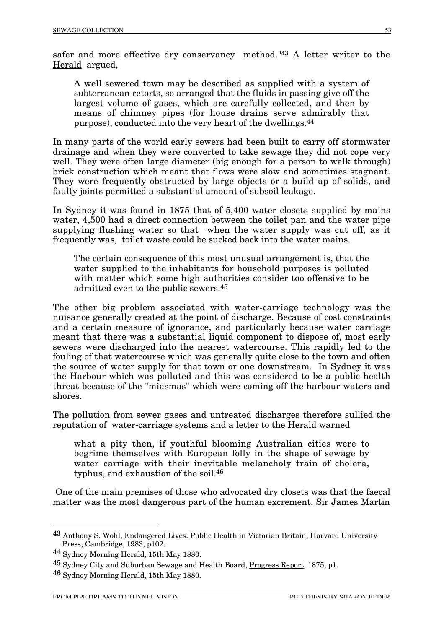safer and more effective dry conservancy method."43 A letter writer to the Herald argued,

A well sewered town may be described as supplied with a system of subterranean retorts, so arranged that the fluids in passing give off the largest volume of gases, which are carefully collected, and then by means of chimney pipes (for house drains serve admirably that purpose), conducted into the very heart of the dwellings.44

In many parts of the world early sewers had been built to carry off stormwater drainage and when they were converted to take sewage they did not cope very well. They were often large diameter (big enough for a person to walk through) brick construction which meant that flows were slow and sometimes stagnant. They were frequently obstructed by large objects or a build up of solids, and faulty joints permitted a substantial amount of subsoil leakage.

In Sydney it was found in 1875 that of 5,400 water closets supplied by mains water, 4,500 had a direct connection between the toilet pan and the water pipe supplying flushing water so that when the water supply was cut off, as it frequently was, toilet waste could be sucked back into the water mains.

The certain consequence of this most unusual arrangement is, that the water supplied to the inhabitants for household purposes is polluted with matter which some high authorities consider too offensive to be admitted even to the public sewers.45

The other big problem associated with water-carriage technology was the nuisance generally created at the point of discharge. Because of cost constraints and a certain measure of ignorance, and particularly because water carriage meant that there was a substantial liquid component to dispose of, most early sewers were discharged into the nearest watercourse. This rapidly led to the fouling of that watercourse which was generally quite close to the town and often the source of water supply for that town or one downstream. In Sydney it was the Harbour which was polluted and this was considered to be a public health threat because of the "miasmas" which were coming off the harbour waters and shores.

The pollution from sewer gases and untreated discharges therefore sullied the reputation of water-carriage systems and a letter to the Herald warned

what a pity then, if youthful blooming Australian cities were to begrime themselves with European folly in the shape of sewage by water carriage with their inevitable melancholy train of cholera, typhus, and exhaustion of the soil.46

One of the main premises of those who advocated dry closets was that the faecal matter was the most dangerous part of the human excrement. Sir James Martin

 <sup>43</sup> Anthony S. Wohl, Endangered Lives: Public Health in Victorian Britain, Harvard University Press, Cambridge, 1983, p102.

<sup>44</sup> Sydney Morning Herald, 15th May 1880.

<sup>45</sup> Sydney City and Suburban Sewage and Health Board, Progress Report, 1875, p1.

<sup>46</sup> Sydney Morning Herald, 15th May 1880.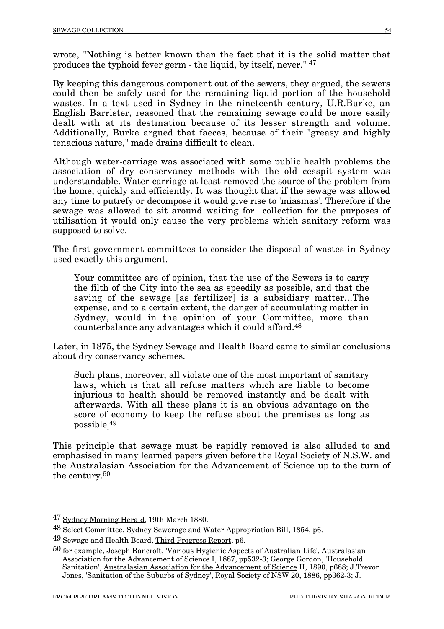wrote, "Nothing is better known than the fact that it is the solid matter that produces the typhoid fever germ - the liquid, by itself, never." 47

By keeping this dangerous component out of the sewers, they argued, the sewers could then be safely used for the remaining liquid portion of the household wastes. In a text used in Sydney in the nineteenth century, U.R.Burke, an English Barrister, reasoned that the remaining sewage could be more easily dealt with at its destination because of its lesser strength and volume. Additionally, Burke argued that faeces, because of their "greasy and highly tenacious nature," made drains difficult to clean.

Although water-carriage was associated with some public health problems the association of dry conservancy methods with the old cesspit system was understandable. Water-carriage at least removed the source of the problem from the home, quickly and efficiently. It was thought that if the sewage was allowed any time to putrefy or decompose it would give rise to 'miasmas'. Therefore if the sewage was allowed to sit around waiting for collection for the purposes of utilisation it would only cause the very problems which sanitary reform was supposed to solve.

The first government committees to consider the disposal of wastes in Sydney used exactly this argument.

Your committee are of opinion, that the use of the Sewers is to carry the filth of the City into the sea as speedily as possible, and that the saving of the sewage [as fertilizer] is a subsidiary matter,..The expense, and to a certain extent, the danger of accumulating matter in Sydney, would in the opinion of your Committee, more than counterbalance any advantages which it could afford.48

Later, in 1875, the Sydney Sewage and Health Board came to similar conclusions about dry conservancy schemes.

Such plans, moreover, all violate one of the most important of sanitary laws, which is that all refuse matters which are liable to become injurious to health should be removed instantly and be dealt with afterwards. With all these plans it is an obvious advantage on the score of economy to keep the refuse about the premises as long as possible. 49

This principle that sewage must be rapidly removed is also alluded to and emphasised in many learned papers given before the Royal Society of N.S.W. and the Australasian Association for the Advancement of Science up to the turn of the century.50

 <sup>47</sup> Sydney Morning Herald, 19th March 1880.

<sup>48</sup> Select Committee, Sydney Sewerage and Water Appropriation Bill, 1854, p6.

<sup>49</sup> Sewage and Health Board, Third Progress Report, p6.

<sup>50</sup> for example, Joseph Bancroft, 'Various Hygienic Aspects of Australian Life', Australasian Association for the Advancement of Science I, 1887, pp532-3; George Gordon, 'Household Sanitation', Australasian Association for the Advancement of Science II, 1890, p688; J.Trevor Jones, 'Sanitation of the Suburbs of Sydney', Royal Society of NSW 20, 1886, pp362-3; J.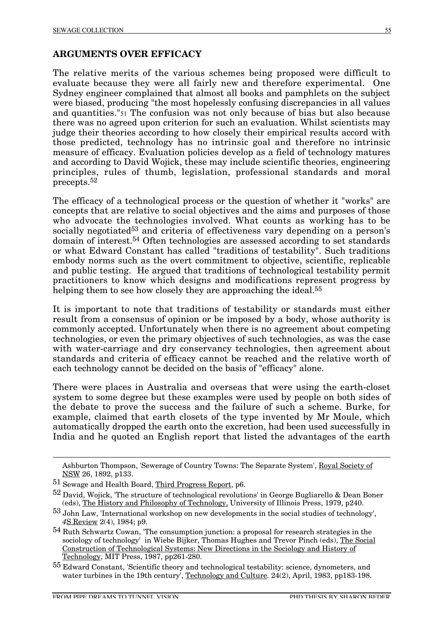## **ARGUMENTS OVER EFFICACY**

The relative merits of the various schemes being proposed were difficult to evaluate because they were all fairly new and therefore experimental. One Sydney engineer complained that almost all books and pamphlets on the subject were biased, producing "the most hopelessly confusing discrepancies in all values and quantities."51 The confusion was not only because of bias but also because there was no agreed upon criterion for such an evaluation. Whilst scientists may judge their theories according to how closely their empirical results accord with those predicted, technology has no intrinsic goal and therefore no intrinsic measure of efficacy. Evaluation policies develop as a field of technology matures and according to David Wojick, these may include scientific theories, engineering principles, rules of thumb, legislation, professional standards and moral precepts.52

The efficacy of a technological process or the question of whether it "works" are concepts that are relative to social objectives and the aims and purposes of those who advocate the technologies involved. What counts as working has to be socially negotiated<sup>53</sup> and criteria of effectiveness vary depending on a person's domain of interest.54 Often technologies are assessed according to set standards or what Edward Constant has called "traditions of testability". Such traditions embody norms such as the overt commitment to objective, scientific, replicable and public testing. He argued that traditions of technological testability permit practitioners to know which designs and modifications represent progress by helping them to see how closely they are approaching the ideal.<sup>55</sup>

It is important to note that traditions of testability or standards must either result from a consensus of opinion or be imposed by a body, whose authority is commonly accepted. Unfortunately when there is no agreement about competing technologies, or even the primary objectives of such technologies, as was the case with water-carriage and dry conservancy technologies, then agreement about standards and criteria of efficacy cannot be reached and the relative worth of each technology cannot be decided on the basis of "efficacy" alone.

There were places in Australia and overseas that were using the earth-closet system to some degree but these examples were used by people on both sides of the debate to prove the success and the failure of such a scheme. Burke, for example, claimed that earth closets of the type invented by Mr Moule, which automatically dropped the earth onto the excretion, had been used successfully in India and he quoted an English report that listed the advantages of the earth

Ashburton Thompson, 'Sewerage of Country Towns: The Separate System', Royal Society of NSW 26, 1892, p133.

<sup>51</sup> Sewage and Health Board, Third Progress Report, p6.

 $52$  David, Wojick, 'The structure of technological revolutions' in George Bugliarello & Dean Boner (eds), The History and Philosophy of Technology, University of Illinois Press, 1979, p240.

<sup>53</sup> John Law, 'International workshop on new developments in the social studies of technology', *4*S Review 2(4), 1984; p9.

 $54$  Ruth Schwartz Cowan, 'The consumption junction: a proposal for research strategies in the sociology of technology' in Wiebe Bijker, Thomas Hughes and Trevor Pinch (eds), <u>The Social</u> Construction of Technological Systems: New Directions in the Sociology and History of Technology, MIT Press, 1987, pp261-280.

<sup>55</sup> Edward Constant, 'Scientific theory and technological testability: science, dynometers, and water turbines in the 19th century<sup>'</sup>, Technology and Culture. 24(2), April, 1983, pp183-198.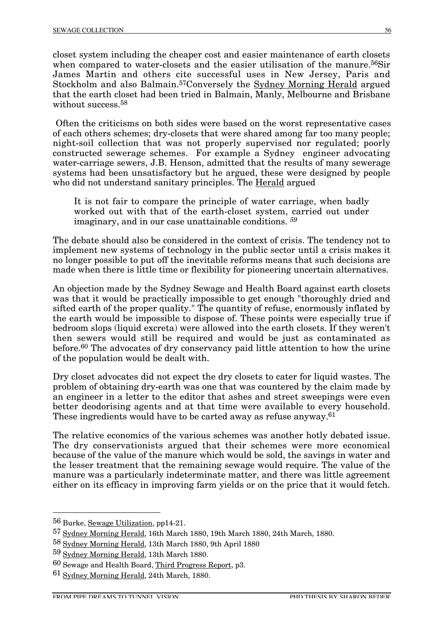closet system including the cheaper cost and easier maintenance of earth closets when compared to water-closets and the easier utilisation of the manure.<sup>56</sup>Sir James Martin and others cite successful uses in New Jersey, Paris and Stockholm and also Balmain.57Conversely the Sydney Morning Herald argued that the earth closet had been tried in Balmain, Manly, Melbourne and Brisbane without success.<sup>58</sup>

Often the criticisms on both sides were based on the worst representative cases of each others schemes; dry-closets that were shared among far too many people; night-soil collection that was not properly supervised nor regulated; poorly constructed sewerage schemes. For example a Sydney engineer advocating water-carriage sewers, J.B. Henson, admitted that the results of many sewerage systems had been unsatisfactory but he argued, these were designed by people who did not understand sanitary principles. The **Herald argued** 

It is not fair to compare the principle of water carriage, when badly worked out with that of the earth-closet system, carried out under imaginary, and in our case unattainable conditions. *59*

The debate should also be considered in the context of crisis. The tendency not to implement new systems of technology in the public sector until a crisis makes it no longer possible to put off the inevitable reforms means that such decisions are made when there is little time or flexibility for pioneering uncertain alternatives.

An objection made by the Sydney Sewage and Health Board against earth closets was that it would be practically impossible to get enough "thoroughly dried and sifted earth of the proper quality." The quantity of refuse, enormously inflated by the earth would be impossible to dispose of. These points were especially true if bedroom slops (liquid excreta) were allowed into the earth closets. If they weren't then sewers would still be required and would be just as contaminated as before.60 The advocates of dry conservancy paid little attention to how the urine of the population would be dealt with.

Dry closet advocates did not expect the dry closets to cater for liquid wastes. The problem of obtaining dry-earth was one that was countered by the claim made by an engineer in a letter to the editor that ashes and street sweepings were even better deodorising agents and at that time were available to every household. These ingredients would have to be carted away as refuse anyway.<sup>61</sup>

The relative economics of the various schemes was another hotly debated issue. The dry conservationists argued that their schemes were more economical because of the value of the manure which would be sold, the savings in water and the lesser treatment that the remaining sewage would require. The value of the manure was a particularly indeterminate matter, and there was little agreement either on its efficacy in improving farm yields or on the price that it would fetch.

 <sup>56</sup> Burke, Sewage Utilization, pp14-21.

<sup>57</sup> Sydney Morning Herald, 16th March 1880, 19th March 1880, 24th March, 1880.

<sup>58</sup> Sydney Morning Herald, 13th March 1880, 9th April 1880

<sup>59</sup> Sydney Morning Herald, 13th March 1880.

<sup>60</sup> Sewage and Health Board, Third Progress Report, p3.

<sup>61</sup> Sydney Morning Herald, 24th March, 1880.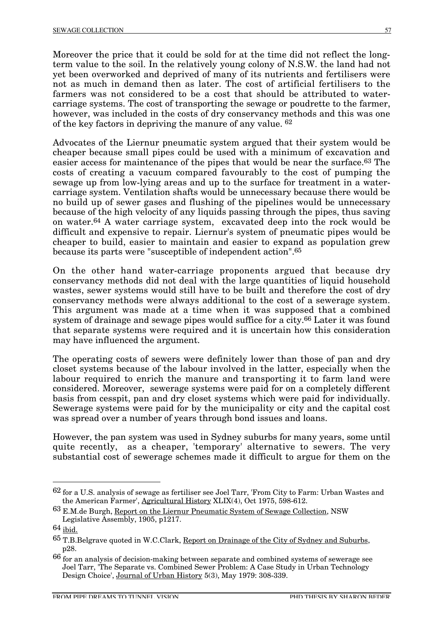Moreover the price that it could be sold for at the time did not reflect the longterm value to the soil. In the relatively young colony of N.S.W. the land had not yet been overworked and deprived of many of its nutrients and fertilisers were not as much in demand then as later. The cost of artificial fertilisers to the farmers was not considered to be a cost that should be attributed to watercarriage systems. The cost of transporting the sewage or poudrette to the farmer, however, was included in the costs of dry conservancy methods and this was one of the key factors in depriving the manure of any value. 62

Advocates of the Liernur pneumatic system argued that their system would be cheaper because small pipes could be used with a minimum of excavation and easier access for maintenance of the pipes that would be near the surface.63 The costs of creating a vacuum compared favourably to the cost of pumping the sewage up from low-lying areas and up to the surface for treatment in a watercarriage system. Ventilation shafts would be unnecessary because there would be no build up of sewer gases and flushing of the pipelines would be unnecessary because of the high velocity of any liquids passing through the pipes, thus saving on water.64 A water carriage system, excavated deep into the rock would be difficult and expensive to repair. Liernur's system of pneumatic pipes would be cheaper to build, easier to maintain and easier to expand as population grew because its parts were "susceptible of independent action".65

On the other hand water-carriage proponents argued that because dry conservancy methods did not deal with the large quantities of liquid household wastes, sewer systems would still have to be built and therefore the cost of dry conservancy methods were always additional to the cost of a sewerage system. This argument was made at a time when it was supposed that a combined system of drainage and sewage pipes would suffice for a city.66 Later it was found that separate systems were required and it is uncertain how this consideration may have influenced the argument.

The operating costs of sewers were definitely lower than those of pan and dry closet systems because of the labour involved in the latter, especially when the labour required to enrich the manure and transporting it to farm land were considered. Moreover, sewerage systems were paid for on a completely different basis from cesspit, pan and dry closet systems which were paid for individually. Sewerage systems were paid for by the municipality or city and the capital cost was spread over a number of years through bond issues and loans.

However, the pan system was used in Sydney suburbs for many years, some until quite recently, as a cheaper, 'temporary' alternative to sewers. The very substantial cost of sewerage schemes made it difficult to argue for them on the

 <sup>62</sup> for a U.S. analysis of sewage as fertiliser see Joel Tarr, 'From City to Farm: Urban Wastes and the American Farmer', Agricultural History XLIX(4), Oct 1975, 598-612.

<sup>63</sup> E.M.de Burgh, Report on the Liernur Pneumatic System of Sewage Collection, NSW Legislative Assembly, 1905, p1217.

<sup>64</sup> ibid.

<sup>65</sup> T.B.Belgrave quoted in W.C.Clark, Report on Drainage of the City of Sydney and Suburbs, p28.

<sup>66</sup> for an analysis of decision-making between separate and combined systems of sewerage see Joel Tarr, 'The Separate vs. Combined Sewer Problem: A Case Study in Urban Technology Design Choice', Journal of Urban History 5(3), May 1979: 308-339.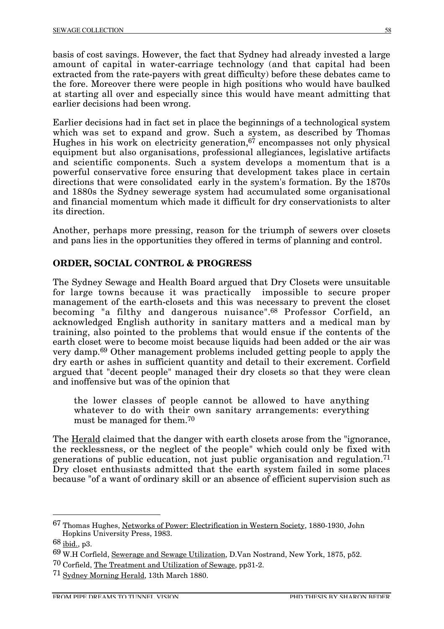basis of cost savings. However, the fact that Sydney had already invested a large amount of capital in water-carriage technology (and that capital had been extracted from the rate-payers with great difficulty) before these debates came to the fore. Moreover there were people in high positions who would have baulked at starting all over and especially since this would have meant admitting that earlier decisions had been wrong.

Earlier decisions had in fact set in place the beginnings of a technological system which was set to expand and grow. Such a system, as described by Thomas Hughes in his work on electricity generation, $67$  encompasses not only physical equipment but also organisations, professional allegiances, legislative artifacts and scientific components. Such a system develops a momentum that is a powerful conservative force ensuring that development takes place in certain directions that were consolidated early in the system's formation. By the 1870s and 1880s the Sydney sewerage system had accumulated some organisational and financial momentum which made it difficult for dry conservationists to alter its direction.

Another, perhaps more pressing, reason for the triumph of sewers over closets and pans lies in the opportunities they offered in terms of planning and control.

#### **ORDER, SOCIAL CONTROL & PROGRESS**

The Sydney Sewage and Health Board argued that Dry Closets were unsuitable for large towns because it was practically impossible to secure proper management of the earth-closets and this was necessary to prevent the closet becoming "a filthy and dangerous nuisance".68 Professor Corfield, an acknowledged English authority in sanitary matters and a medical man by training, also pointed to the problems that would ensue if the contents of the earth closet were to become moist because liquids had been added or the air was very damp.69 Other management problems included getting people to apply the dry earth or ashes in sufficient quantity and detail to their excrement. Corfield argued that "decent people" managed their dry closets so that they were clean and inoffensive but was of the opinion that

the lower classes of people cannot be allowed to have anything whatever to do with their own sanitary arrangements: everything must be managed for them.70

The Herald claimed that the danger with earth closets arose from the "ignorance, the recklessness, or the neglect of the people" which could only be fixed with generations of public education, not just public organisation and regulation.71 Dry closet enthusiasts admitted that the earth system failed in some places because "of a want of ordinary skill or an absence of efficient supervision such as

 <sup>67</sup> Thomas Hughes, Networks of Power: Electrification in Western Society, 1880-1930, John Hopkins University Press, 1983.

<sup>68</sup> ibid., p3.

<sup>69</sup> W.H Corfield, Sewerage and Sewage Utilization, D.Van Nostrand, New York, 1875, p52.

<sup>70</sup> Corfield, The Treatment and Utilization of Sewage, pp31-2.

<sup>&</sup>lt;sup>71</sup> Sydney Morning Herald, 13th March 1880.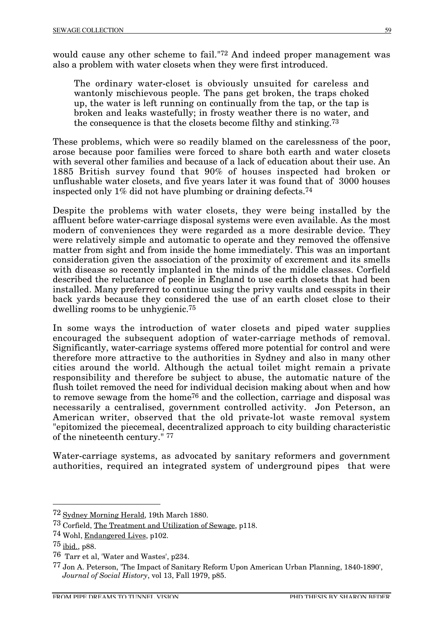would cause any other scheme to fail."72 And indeed proper management was also a problem with water closets when they were first introduced.

The ordinary water-closet is obviously unsuited for careless and wantonly mischievous people. The pans get broken, the traps choked up, the water is left running on continually from the tap, or the tap is broken and leaks wastefully; in frosty weather there is no water, and the consequence is that the closets become filthy and stinking.73

These problems, which were so readily blamed on the carelessness of the poor, arose because poor families were forced to share both earth and water closets with several other families and because of a lack of education about their use. An 1885 British survey found that 90% of houses inspected had broken or unflushable water closets, and five years later it was found that of 3000 houses inspected only 1% did not have plumbing or draining defects.74

Despite the problems with water closets, they were being installed by the affluent before water-carriage disposal systems were even available. As the most modern of conveniences they were regarded as a more desirable device. They were relatively simple and automatic to operate and they removed the offensive matter from sight and from inside the home immediately. This was an important consideration given the association of the proximity of excrement and its smells with disease so recently implanted in the minds of the middle classes. Corfield described the reluctance of people in England to use earth closets that had been installed. Many preferred to continue using the privy vaults and cesspits in their back yards because they considered the use of an earth closet close to their dwelling rooms to be unhygienic.75

In some ways the introduction of water closets and piped water supplies encouraged the subsequent adoption of water-carriage methods of removal. Significantly, water-carriage systems offered more potential for control and were therefore more attractive to the authorities in Sydney and also in many other cities around the world. Although the actual toilet might remain a private responsibility and therefore be subject to abuse, the automatic nature of the flush toilet removed the need for individual decision making about when and how to remove sewage from the home76 and the collection, carriage and disposal was necessarily a centralised, government controlled activity. Jon Peterson, an American writer, observed that the old private-lot waste removal system "epitomized the piecemeal, decentralized approach to city building characteristic of the nineteenth century." 77

Water-carriage systems, as advocated by sanitary reformers and government authorities, required an integrated system of underground pipes that were

 <sup>72</sup> Sydney Morning Herald, 19th March 1880.

<sup>73</sup> Corfield, The Treatment and Utilization of Sewage, p118.

<sup>74</sup> Wohl, Endangered Lives, p102.

<sup>75</sup> ibid., p88.

<sup>76</sup> Tarr et al, 'Water and Wastes', p234.

<sup>77</sup> Jon A. Peterson, 'The Impact of Sanitary Reform Upon American Urban Planning, 1840-1890', Journal of Social History, vol 13, Fall 1979, p85.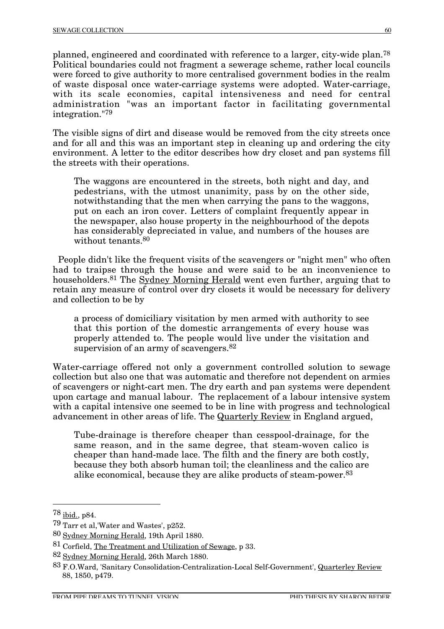planned, engineered and coordinated with reference to a larger, city-wide plan.78 Political boundaries could not fragment a sewerage scheme, rather local councils were forced to give authority to more centralised government bodies in the realm of waste disposal once water-carriage systems were adopted. Water-carriage, with its scale economies, capital intensiveness and need for central administration "was an important factor in facilitating governmental integration."79

The visible signs of dirt and disease would be removed from the city streets once and for all and this was an important step in cleaning up and ordering the city environment. A letter to the editor describes how dry closet and pan systems fill the streets with their operations.

The waggons are encountered in the streets, both night and day, and pedestrians, with the utmost unanimity, pass by on the other side, notwithstanding that the men when carrying the pans to the waggons, put on each an iron cover. Letters of complaint frequently appear in the newspaper, also house property in the neighbourhood of the depots has considerably depreciated in value, and numbers of the houses are without tenants.80

 People didn't like the frequent visits of the scavengers or "night men" who often had to traipse through the house and were said to be an inconvenience to householders.<sup>81</sup> The Sydney Morning Herald went even further, arguing that to retain any measure of control over dry closets it would be necessary for delivery and collection to be by

a process of domiciliary visitation by men armed with authority to see that this portion of the domestic arrangements of every house was properly attended to. The people would live under the visitation and supervision of an army of scavengers.<sup>82</sup>

Water-carriage offered not only a government controlled solution to sewage collection but also one that was automatic and therefore not dependent on armies of scavengers or night-cart men. The dry earth and pan systems were dependent upon cartage and manual labour. The replacement of a labour intensive system with a capital intensive one seemed to be in line with progress and technological advancement in other areas of life. The Quarterly Review in England argued,

Tube-drainage is therefore cheaper than cesspool-drainage, for the same reason, and in the same degree, that steam-woven calico is cheaper than hand-made lace. The filth and the finery are both costly, because they both absorb human toil; the cleanliness and the calico are alike economical, because they are alike products of steam-power.83

 <sup>78</sup> ibid., p84.

<sup>79</sup> Tarr et al,'Water and Wastes', p252.

<sup>80</sup> Sydney Morning Herald, 19th April 1880.

<sup>81</sup> Corfield, The Treatment and Utilization of Sewage, p 33.

<sup>82</sup> Sydney Morning Herald, 26th March 1880.

<sup>83</sup> F.O.Ward, 'Sanitary Consolidation-Centralization-Local Self-Government', Quarterley Review 88, 1850, p479.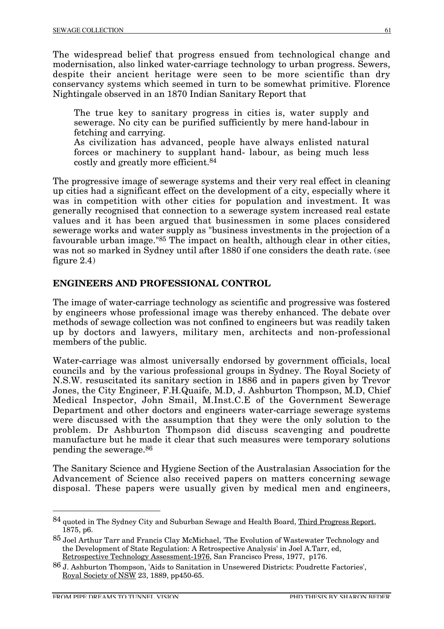The widespread belief that progress ensued from technological change and modernisation, also linked water-carriage technology to urban progress. Sewers, despite their ancient heritage were seen to be more scientific than dry conservancy systems which seemed in turn to be somewhat primitive. Florence Nightingale observed in an 1870 Indian Sanitary Report that

The true key to sanitary progress in cities is, water supply and sewerage. No city can be purified sufficiently by mere hand-labour in fetching and carrying.

As civilization has advanced, people have always enlisted natural forces or machinery to supplant hand- labour, as being much less costly and greatly more efficient.84

The progressive image of sewerage systems and their very real effect in cleaning up cities had a significant effect on the development of a city, especially where it was in competition with other cities for population and investment. It was generally recognised that connection to a sewerage system increased real estate values and it has been argued that businessmen in some places considered sewerage works and water supply as "business investments in the projection of a favourable urban image."85 The impact on health, although clear in other cities, was not so marked in Sydney until after 1880 if one considers the death rate. (see figure 2.4)

#### **ENGINEERS AND PROFESSIONAL CONTROL**

The image of water-carriage technology as scientific and progressive was fostered by engineers whose professional image was thereby enhanced. The debate over methods of sewage collection was not confined to engineers but was readily taken up by doctors and lawyers, military men, architects and non-professional members of the public.

Water-carriage was almost universally endorsed by government officials, local councils and by the various professional groups in Sydney. The Royal Society of N.S.W. resuscitated its sanitary section in 1886 and in papers given by Trevor Jones, the City Engineer, F.H.Quaife, M.D, J. Ashburton Thompson, M.D, Chief Medical Inspector, John Smail, M.Inst.C.E of the Government Sewerage Department and other doctors and engineers water-carriage sewerage systems were discussed with the assumption that they were the only solution to the problem. Dr Ashburton Thompson did discuss scavenging and poudrette manufacture but he made it clear that such measures were temporary solutions pending the sewerage.86

The Sanitary Science and Hygiene Section of the Australasian Association for the Advancement of Science also received papers on matters concerning sewage disposal. These papers were usually given by medical men and engineers,

<sup>84</sup> quoted in The Sydney City and Suburban Sewage and Health Board, Third Progress Report, 1875, p6.

<sup>85</sup> Joel Arthur Tarr and Francis Clay McMichael, 'The Evolution of Wastewater Technology and the Development of State Regulation: A Retrospective Analysis' in Joel A.Tarr, ed, Retrospective Technology Assessment-1976, San Francisco Press, 1977, p176.

<sup>86</sup> J. Ashburton Thompson, 'Aids to Sanitation in Unsewered Districts: Poudrette Factories', Royal Society of NSW 23, 1889, pp450-65.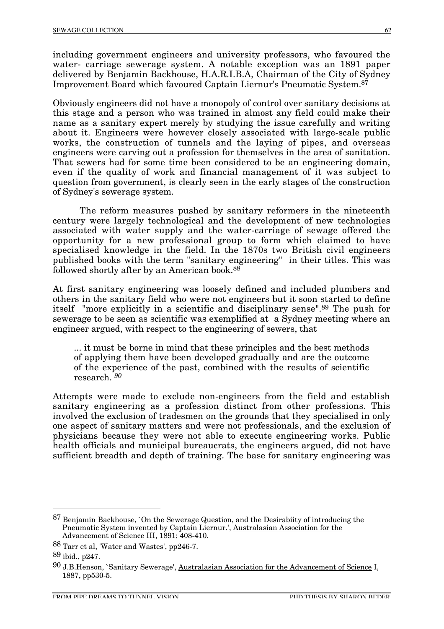including government engineers and university professors, who favoured the water- carriage sewerage system. A notable exception was an 1891 paper delivered by Benjamin Backhouse, H.A.R.I.B.A, Chairman of the City of Sydney Improvement Board which favoured Captain Liernur's Pneumatic System.87

Obviously engineers did not have a monopoly of control over sanitary decisions at this stage and a person who was trained in almost any field could make their name as a sanitary expert merely by studying the issue carefully and writing about it. Engineers were however closely associated with large-scale public works, the construction of tunnels and the laying of pipes, and overseas engineers were carving out a profession for themselves in the area of sanitation. That sewers had for some time been considered to be an engineering domain, even if the quality of work and financial management of it was subject to question from government, is clearly seen in the early stages of the construction of Sydney's sewerage system.

The reform measures pushed by sanitary reformers in the nineteenth century were largely technological and the development of new technologies associated with water supply and the water-carriage of sewage offered the opportunity for a new professional group to form which claimed to have specialised knowledge in the field. In the 1870s two British civil engineers published books with the term "sanitary engineering" in their titles. This was followed shortly after by an American book.88

At first sanitary engineering was loosely defined and included plumbers and others in the sanitary field who were not engineers but it soon started to define itself "more explicitly in a scientific and disciplinary sense".89 The push for sewerage to be seen as scientific was exemplified at a Sydney meeting where an engineer argued, with respect to the engineering of sewers, that

... it must be borne in mind that these principles and the best methods of applying them have been developed gradually and are the outcome of the experience of the past, combined with the results of scientific research. *90*

Attempts were made to exclude non-engineers from the field and establish sanitary engineering as a profession distinct from other professions. This involved the exclusion of tradesmen on the grounds that they specialised in only one aspect of sanitary matters and were not professionals, and the exclusion of physicians because they were not able to execute engineering works. Public health officials and municipal bureaucrats, the engineers argued, did not have sufficient breadth and depth of training. The base for sanitary engineering was

 <sup>87</sup> Benjamin Backhouse, `On the Sewerage Question, and the Desirabiity of introducing the Pneumatic System invented by Captain Liernur.', Australasian Association for the Advancement of Science III, 1891; 408-410.

<sup>88</sup> Tarr et al, 'Water and Wastes', pp246-7.

<sup>89</sup> ibid., p247.

<sup>90</sup> J.B.Henson, `Sanitary Sewerage', Australasian Association for the Advancement of Science I, 1887, pp530-5.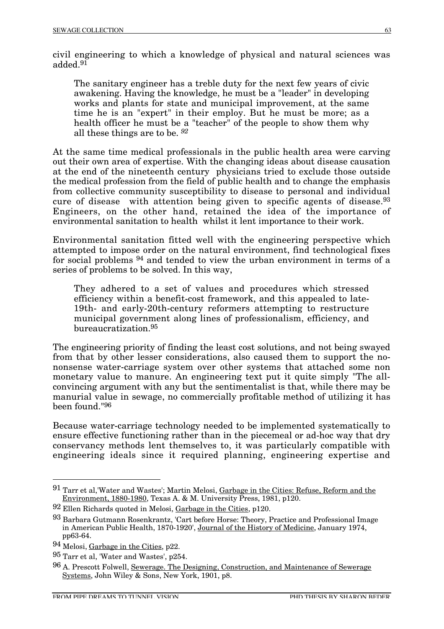civil engineering to which a knowledge of physical and natural sciences was added.<sup>91</sup>

The sanitary engineer has a treble duty for the next few years of civic awakening. Having the knowledge, he must be a "leader" in developing works and plants for state and municipal improvement, at the same time he is an "expert" in their employ. But he must be more; as a health officer he must be a "teacher" of the people to show them why all these things are to be. *92*

At the same time medical professionals in the public health area were carving out their own area of expertise. With the changing ideas about disease causation at the end of the nineteenth century physicians tried to exclude those outside the medical profession from the field of public health and to change the emphasis from collective community susceptibility to disease to personal and individual cure of disease with attention being given to specific agents of disease.<sup>93</sup> Engineers, on the other hand, retained the idea of the importance of environmental sanitation to health whilst it lent importance to their work.

Environmental sanitation fitted well with the engineering perspective which attempted to impose order on the natural environment, find technological fixes for social problems 94 and tended to view the urban environment in terms of a series of problems to be solved. In this way,

They adhered to a set of values and procedures which stressed efficiency within a benefit-cost framework, and this appealed to late-19th- and early-20th-century reformers attempting to restructure municipal government along lines of professionalism, efficiency, and bureaucratization.95

The engineering priority of finding the least cost solutions, and not being swayed from that by other lesser considerations, also caused them to support the nononsense water-carriage system over other systems that attached some non monetary value to manure. An engineering text put it quite simply "The allconvincing argument with any but the sentimentalist is that, while there may be manurial value in sewage, no commercially profitable method of utilizing it has been found."96

Because water-carriage technology needed to be implemented systematically to ensure effective functioning rather than in the piecemeal or ad-hoc way that dry conservancy methods lent themselves to, it was particularly compatible with engineering ideals since it required planning, engineering expertise and

 <sup>91</sup> Tarr et al,'Water and Wastes'; Martin Melosi, Garbage in the Cities: Refuse, Reform and the Environment, 1880-1980, Texas A. & M. University Press, 1981, p120.

 $92$  Ellen Richards quoted in Melosi, Garbage in the Cities, p120.

<sup>93</sup> Barbara Gutmann Rosenkrantz, 'Cart before Horse: Theory, Practice and Professional Image in American Public Health, 1870-1920', Journal of the History of Medicine, January 1974, pp63-64.

<sup>94</sup> Melosi, Garbage in the Cities, p22.

<sup>95</sup> Tarr et al, 'Water and Wastes', p254.

<sup>96</sup> A. Prescott Folwell, Sewerage. The Designing, Construction, and Maintenance of Sewerage Systems, John Wiley & Sons, New York, 1901, p8.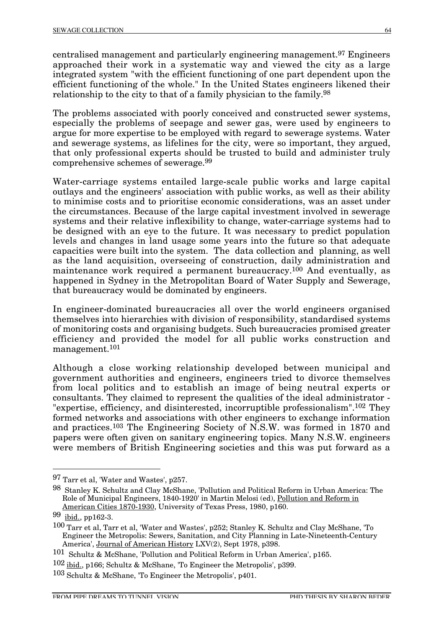centralised management and particularly engineering management.97 Engineers approached their work in a systematic way and viewed the city as a large integrated system "with the efficient functioning of one part dependent upon the efficient functioning of the whole." In the United States engineers likened their relationship to the city to that of a family physician to the family.98

The problems associated with poorly conceived and constructed sewer systems, especially the problems of seepage and sewer gas, were used by engineers to argue for more expertise to be employed with regard to sewerage systems. Water and sewerage systems, as lifelines for the city, were so important, they argued, that only professional experts should be trusted to build and administer truly comprehensive schemes of sewerage.99

Water-carriage systems entailed large-scale public works and large capital outlays and the engineers' association with public works, as well as their ability to minimise costs and to prioritise economic considerations, was an asset under the circumstances. Because of the large capital investment involved in sewerage systems and their relative inflexibility to change, water-carriage systems had to be designed with an eye to the future. It was necessary to predict population levels and changes in land usage some years into the future so that adequate capacities were built into the system. The data collection and planning, as well as the land acquisition, overseeing of construction, daily administration and maintenance work required a permanent bureaucracy.100 And eventually, as happened in Sydney in the Metropolitan Board of Water Supply and Sewerage, that bureaucracy would be dominated by engineers.

In engineer-dominated bureaucracies all over the world engineers organised themselves into hierarchies with division of responsibility, standardised systems of monitoring costs and organising budgets. Such bureaucracies promised greater efficiency and provided the model for all public works construction and management.101

Although a close working relationship developed between municipal and government authorities and engineers, engineers tried to divorce themselves from local politics and to establish an image of being neutral experts or consultants. They claimed to represent the qualities of the ideal administrator - "expertise, efficiency, and disinterested, incorruptible professionalism".102 They formed networks and associations with other engineers to exchange information and practices.103 The Engineering Society of N.S.W. was formed in 1870 and papers were often given on sanitary engineering topics. Many N.S.W. engineers were members of British Engineering societies and this was put forward as a

 <sup>97</sup> Tarr et al, 'Water and Wastes', p257.

<sup>98</sup> Stanley K. Schultz and Clay McShane, 'Pollution and Political Reform in Urban America: The Role of Municipal Engineers, 1840-1920' in Martin Melosi (ed), Pollution and Reform in American Cities 1870-1930, University of Texas Press, 1980, p160.

<sup>99</sup> ibid., pp162-3.

<sup>100</sup> Tarr et al, Tarr et al, 'Water and Wastes', p252; Stanley K. Schultz and Clay McShane, 'To Engineer the Metropolis: Sewers, Sanitation, and City Planning in Late-Nineteenth-Century America', Journal of American History LXV(2), Sept 1978, p398.

<sup>101</sup> Schultz & McShane, 'Pollution and Political Reform in Urban America', p165.

<sup>102</sup> ibid., p166; Schultz & McShane, 'To Engineer the Metropolis', p399.

<sup>103</sup> Schultz & McShane, 'To Engineer the Metropolis', p401.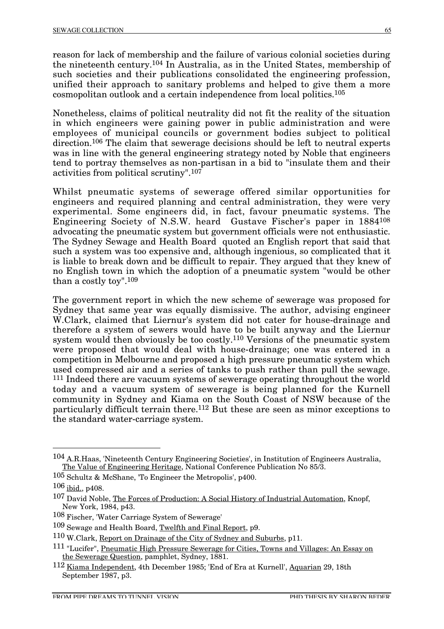reason for lack of membership and the failure of various colonial societies during the nineteenth century.104 In Australia, as in the United States, membership of such societies and their publications consolidated the engineering profession, unified their approach to sanitary problems and helped to give them a more cosmopolitan outlook and a certain independence from local politics.105

Nonetheless, claims of political neutrality did not fit the reality of the situation in which engineers were gaining power in public administration and were employees of municipal councils or government bodies subject to political direction.106 The claim that sewerage decisions should be left to neutral experts was in line with the general engineering strategy noted by Noble that engineers tend to portray themselves as non-partisan in a bid to "insulate them and their activities from political scrutiny".107

Whilst pneumatic systems of sewerage offered similar opportunities for engineers and required planning and central administration, they were very experimental. Some engineers did, in fact, favour pneumatic systems. The Engineering Society of N.S.W. heard Gustave Fischer's paper in 1884108 advocating the pneumatic system but government officials were not enthusiastic. The Sydney Sewage and Health Board quoted an English report that said that such a system was too expensive and, although ingenious, so complicated that it is liable to break down and be difficult to repair. They argued that they knew of no English town in which the adoption of a pneumatic system "would be other than a costly toy".109

The government report in which the new scheme of sewerage was proposed for Sydney that same year was equally dismissive. The author, advising engineer W.Clark, claimed that Liernur's system did not cater for house-drainage and therefore a system of sewers would have to be built anyway and the Liernur system would then obviously be too costly.110 Versions of the pneumatic system were proposed that would deal with house-drainage; one was entered in a competition in Melbourne and proposed a high pressure pneumatic system which used compressed air and a series of tanks to push rather than pull the sewage. 111 Indeed there are vacuum systems of sewerage operating throughout the world today and a vacuum system of sewerage is being planned for the Kurnell community in Sydney and Kiama on the South Coast of NSW because of the particularly difficult terrain there.112 But these are seen as minor exceptions to the standard water-carriage system.

 <sup>104</sup> A.R.Haas, 'Nineteenth Century Engineering Societies', in Institution of Engineers Australia, The Value of Engineering Heritage, National Conference Publication No 85/3.

<sup>105</sup> Schultz & McShane, 'To Engineer the Metropolis', p400.

<sup>106</sup> ibid., p408.

<sup>107</sup> David Noble, The Forces of Production: A Social History of Industrial Automation, Knopf, New York, 1984, p43.

<sup>108</sup> Fischer, 'Water Carriage System of Sewerage'

<sup>109</sup> Sewage and Health Board, Twelfth and Final Report, p9.

<sup>110</sup> W.Clark, Report on Drainage of the City of Sydney and Suburbs, p11.

<sup>111 &</sup>quot;Lucifer", Pneumatic High Pressure Sewerage for Cities, Towns and Villages: An Essay on the Sewerage Question, pamphlet, Sydney, 1881.

<sup>112</sup> Kiama Independent, 4th December 1985; 'End of Era at Kurnell', Aquarian 29, 18th September 1987, p3.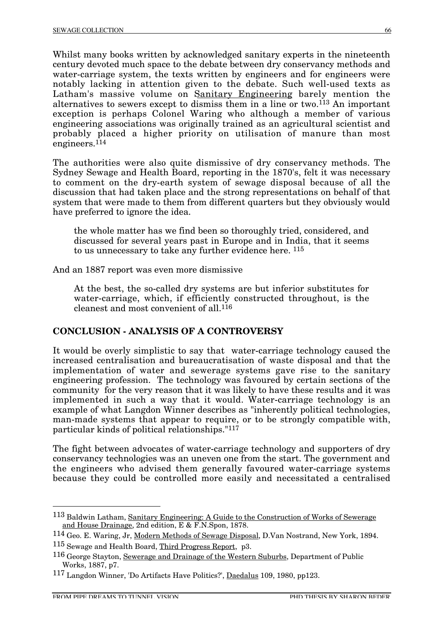Whilst many books written by acknowledged sanitary experts in the nineteenth century devoted much space to the debate between dry conservancy methods and water-carriage system, the texts written by engineers and for engineers were notably lacking in attention given to the debate. Such well-used texts as Latham's massive volume on Sanitary Engineering barely mention the alternatives to sewers except to dismiss them in a line or two.113 An important exception is perhaps Colonel Waring who although a member of various engineering associations was originally trained as an agricultural scientist and probably placed a higher priority on utilisation of manure than most engineers.<sup>114</sup>

The authorities were also quite dismissive of dry conservancy methods. The Sydney Sewage and Health Board, reporting in the 1870's, felt it was necessary to comment on the dry-earth system of sewage disposal because of all the discussion that had taken place and the strong representations on behalf of that system that were made to them from different quarters but they obviously would have preferred to ignore the idea.

the whole matter has we find been so thoroughly tried, considered, and discussed for several years past in Europe and in India, that it seems to us unnecessary to take any further evidence here. 115

And an 1887 report was even more dismissive

At the best, the so-called dry systems are but inferior substitutes for water-carriage, which, if efficiently constructed throughout, is the cleanest and most convenient of all.116

# **CONCLUSION - ANALYSIS OF A CONTROVERSY**

It would be overly simplistic to say that water-carriage technology caused the increased centralisation and bureaucratisation of waste disposal and that the implementation of water and sewerage systems gave rise to the sanitary engineering profession. The technology was favoured by certain sections of the community for the very reason that it was likely to have these results and it was implemented in such a way that it would. Water-carriage technology is an example of what Langdon Winner describes as "inherently political technologies, man-made systems that appear to require, or to be strongly compatible with, particular kinds of political relationships."117

The fight between advocates of water-carriage technology and supporters of dry conservancy technologies was an uneven one from the start. The government and the engineers who advised them generally favoured water-carriage systems because they could be controlled more easily and necessitated a centralised

 <sup>113</sup> Baldwin Latham, Sanitary Engineering: A Guide to the Construction of Works of Sewerage and House Drainage, 2nd edition, E & F.N.Spon, 1878.

<sup>114</sup> Geo. E. Waring, Jr, Modern Methods of Sewage Disposal, D.Van Nostrand, New York, 1894.

<sup>115</sup> Sewage and Health Board, Third Progress Report, p3.

<sup>116</sup> George Stayton, Sewerage and Drainage of the Western Suburbs, Department of Public Works, 1887, p7.

<sup>117</sup> Langdon Winner, 'Do Artifacts Have Politics?', Daedalus 109, 1980, pp123.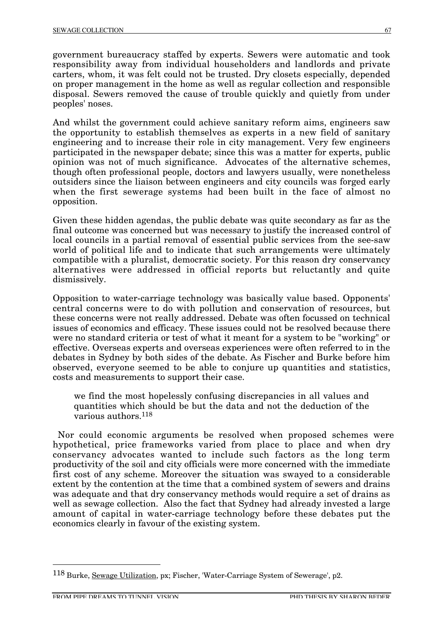government bureaucracy staffed by experts. Sewers were automatic and took responsibility away from individual householders and landlords and private carters, whom, it was felt could not be trusted. Dry closets especially, depended on proper management in the home as well as regular collection and responsible disposal. Sewers removed the cause of trouble quickly and quietly from under peoples' noses.

And whilst the government could achieve sanitary reform aims, engineers saw the opportunity to establish themselves as experts in a new field of sanitary engineering and to increase their role in city management. Very few engineers participated in the newspaper debate; since this was a matter for experts, public opinion was not of much significance. Advocates of the alternative schemes, though often professional people, doctors and lawyers usually, were nonetheless outsiders since the liaison between engineers and city councils was forged early when the first sewerage systems had been built in the face of almost no opposition.

Given these hidden agendas, the public debate was quite secondary as far as the final outcome was concerned but was necessary to justify the increased control of local councils in a partial removal of essential public services from the see-saw world of political life and to indicate that such arrangements were ultimately compatible with a pluralist, democratic society. For this reason dry conservancy alternatives were addressed in official reports but reluctantly and quite dismissively.

Opposition to water-carriage technology was basically value based. Opponents' central concerns were to do with pollution and conservation of resources, but these concerns were not really addressed. Debate was often focussed on technical issues of economics and efficacy. These issues could not be resolved because there were no standard criteria or test of what it meant for a system to be "working" or effective. Overseas experts and overseas experiences were often referred to in the debates in Sydney by both sides of the debate. As Fischer and Burke before him observed, everyone seemed to be able to conjure up quantities and statistics, costs and measurements to support their case.

we find the most hopelessly confusing discrepancies in all values and quantities which should be but the data and not the deduction of the various authors.118

Nor could economic arguments be resolved when proposed schemes were hypothetical, price frameworks varied from place to place and when dry conservancy advocates wanted to include such factors as the long term productivity of the soil and city officials were more concerned with the immediate first cost of any scheme. Moreover the situation was swayed to a considerable extent by the contention at the time that a combined system of sewers and drains was adequate and that dry conservancy methods would require a set of drains as well as sewage collection. Also the fact that Sydney had already invested a large amount of capital in water-carriage technology before these debates put the economics clearly in favour of the existing system.

 <sup>118</sup> Burke, Sewage Utilization, px; Fischer, 'Water-Carriage System of Sewerage', p2.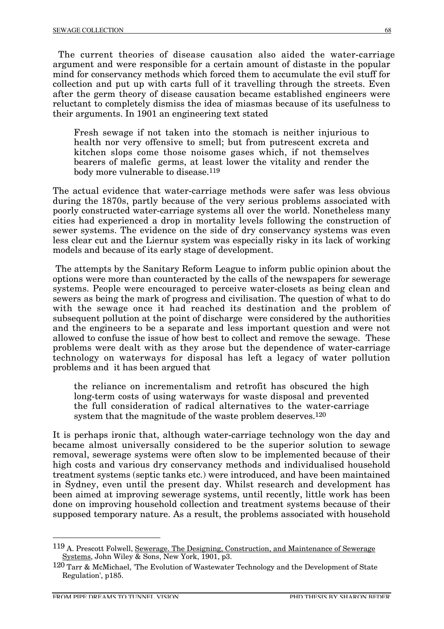The current theories of disease causation also aided the water-carriage argument and were responsible for a certain amount of distaste in the popular mind for conservancy methods which forced them to accumulate the evil stuff for collection and put up with carts full of it travelling through the streets. Even after the germ theory of disease causation became established engineers were reluctant to completely dismiss the idea of miasmas because of its usefulness to their arguments. In 1901 an engineering text stated

Fresh sewage if not taken into the stomach is neither injurious to health nor very offensive to smell; but from putrescent excreta and kitchen slops come those noisome gases which, if not themselves bearers of malefic germs, at least lower the vitality and render the body more vulnerable to disease.<sup>119</sup>

The actual evidence that water-carriage methods were safer was less obvious during the 1870s, partly because of the very serious problems associated with poorly constructed water-carriage systems all over the world. Nonetheless many cities had experienced a drop in mortality levels following the construction of sewer systems. The evidence on the side of dry conservancy systems was even less clear cut and the Liernur system was especially risky in its lack of working models and because of its early stage of development.

The attempts by the Sanitary Reform League to inform public opinion about the options were more than counteracted by the calls of the newspapers for sewerage systems. People were encouraged to perceive water-closets as being clean and sewers as being the mark of progress and civilisation. The question of what to do with the sewage once it had reached its destination and the problem of subsequent pollution at the point of discharge were considered by the authorities and the engineers to be a separate and less important question and were not allowed to confuse the issue of how best to collect and remove the sewage. These problems were dealt with as they arose but the dependence of water-carriage technology on waterways for disposal has left a legacy of water pollution problems and it has been argued that

the reliance on incrementalism and retrofit has obscured the high long-term costs of using waterways for waste disposal and prevented the full consideration of radical alternatives to the water-carriage system that the magnitude of the waste problem deserves.<sup>120</sup>

It is perhaps ironic that, although water-carriage technology won the day and became almost universally considered to be the superior solution to sewage removal, sewerage systems were often slow to be implemented because of their high costs and various dry conservancy methods and individualised household treatment systems (septic tanks etc.) were introduced, and have been maintained in Sydney, even until the present day. Whilst research and development has been aimed at improving sewerage systems, until recently, little work has been done on improving household collection and treatment systems because of their supposed temporary nature. As a result, the problems associated with household

 <sup>119</sup> A. Prescott Folwell, Sewerage. The Designing, Construction, and Maintenance of Sewerage Systems, John Wiley & Sons, New York, 1901, p3.

<sup>120</sup> Tarr & McMichael, 'The Evolution of Wastewater Technology and the Development of State Regulation', p185.